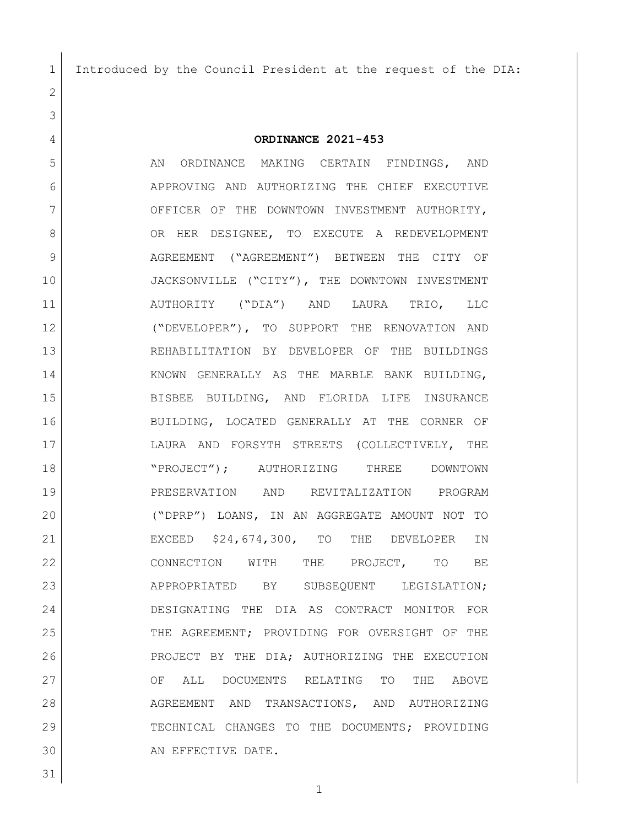Introduced by the Council President at the request of the DIA:

**ORDINANCE 2021-453**

5 AN ORDINANCE MAKING CERTAIN FINDINGS, AND APPROVING AND AUTHORIZING THE CHIEF EXECUTIVE 7 OFFICER OF THE DOWNTOWN INVESTMENT AUTHORITY, 8 OR HER DESIGNEE, TO EXECUTE A REDEVELOPMENT 9 AGREEMENT ("AGREEMENT") BETWEEN THE CITY OF 10 JACKSONVILLE ("CITY"), THE DOWNTOWN INVESTMENT AUTHORITY ("DIA") AND LAURA TRIO, LLC ("DEVELOPER"), TO SUPPORT THE RENOVATION AND REHABILITATION BY DEVELOPER OF THE BUILDINGS 14 | KNOWN GENERALLY AS THE MARBLE BANK BUILDING, BISBEE BUILDING, AND FLORIDA LIFE INSURANCE BUILDING, LOCATED GENERALLY AT THE CORNER OF LAURA AND FORSYTH STREETS (COLLECTIVELY, THE "PROJECT"); AUTHORIZING THREE DOWNTOWN PRESERVATION AND REVITALIZATION PROGRAM ("DPRP") LOANS, IN AN AGGREGATE AMOUNT NOT TO EXCEED \$24,674,300, TO THE DEVELOPER IN 22 CONNECTION WITH THE PROJECT, TO BE APPROPRIATED BY SUBSEQUENT LEGISLATION; DESIGNATING THE DIA AS CONTRACT MONITOR FOR THE AGREEMENT; PROVIDING FOR OVERSIGHT OF THE PROJECT BY THE DIA; AUTHORIZING THE EXECUTION 27 OF ALL DOCUMENTS RELATING TO THE ABOVE 28 AGREEMENT AND TRANSACTIONS, AND AUTHORIZING TECHNICAL CHANGES TO THE DOCUMENTS; PROVIDING 30 AN EFFECTIVE DATE.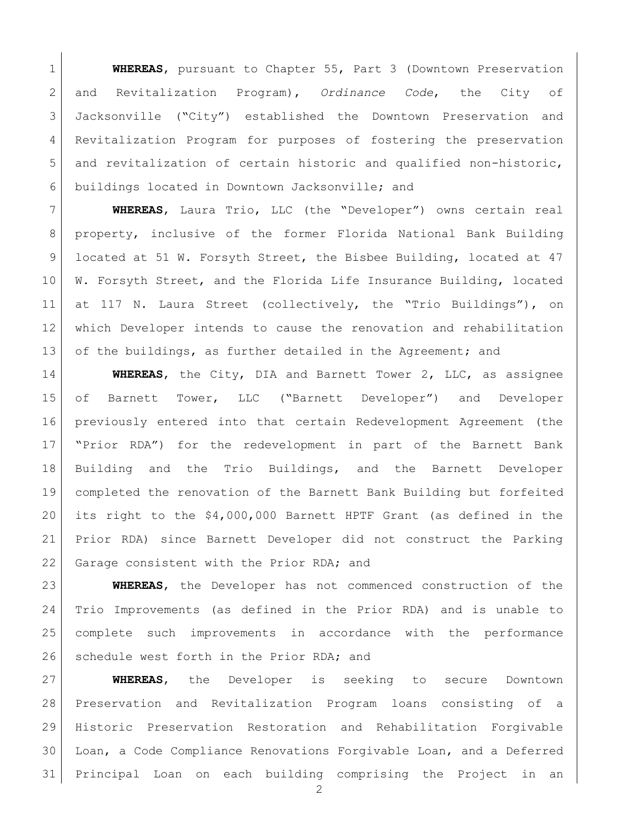**WHEREAS**, pursuant to Chapter 55, Part 3 (Downtown Preservation and Revitalization Program), *Ordinance Code*, the City of Jacksonville ("City") established the Downtown Preservation and Revitalization Program for purposes of fostering the preservation 5 and revitalization of certain historic and qualified non-historic, buildings located in Downtown Jacksonville; and

 **WHEREAS**, Laura Trio, LLC (the "Developer") owns certain real property, inclusive of the former Florida National Bank Building 9 located at 51 W. Forsyth Street, the Bisbee Building, located at 47 W. Forsyth Street, and the Florida Life Insurance Building, located at 117 N. Laura Street (collectively, the "Trio Buildings"), on which Developer intends to cause the renovation and rehabilitation 13 of the buildings, as further detailed in the Agreement; and

 **WHEREAS**, the City, DIA and Barnett Tower 2, LLC, as assignee of Barnett Tower, LLC ("Barnett Developer") and Developer previously entered into that certain Redevelopment Agreement (the "Prior RDA") for the redevelopment in part of the Barnett Bank Building and the Trio Buildings, and the Barnett Developer completed the renovation of the Barnett Bank Building but forfeited its right to the \$4,000,000 Barnett HPTF Grant (as defined in the Prior RDA) since Barnett Developer did not construct the Parking 22 Garage consistent with the Prior RDA; and

 **WHEREAS**, the Developer has not commenced construction of the Trio Improvements (as defined in the Prior RDA) and is unable to complete such improvements in accordance with the performance 26 schedule west forth in the Prior RDA; and

 **WHEREAS**, the Developer is seeking to secure Downtown Preservation and Revitalization Program loans consisting of a Historic Preservation Restoration and Rehabilitation Forgivable Loan, a Code Compliance Renovations Forgivable Loan, and a Deferred Principal Loan on each building comprising the Project in an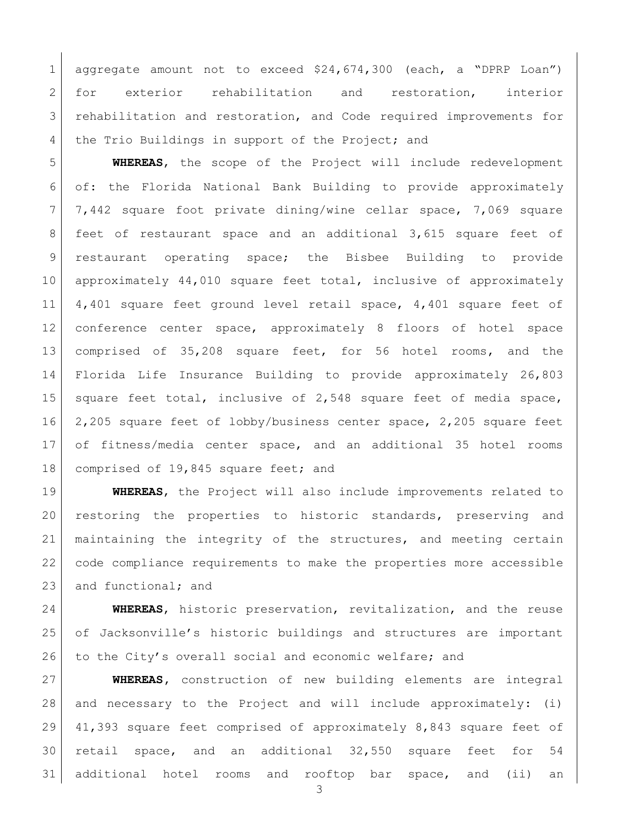aggregate amount not to exceed \$24,674,300 (each, a "DPRP Loan") for exterior rehabilitation and restoration, interior 3 | rehabilitation and restoration, and Code required improvements for 4 the Trio Buildings in support of the Project; and

 **WHEREAS**, the scope of the Project will include redevelopment of: the Florida National Bank Building to provide approximately 7,442 square foot private dining/wine cellar space, 7,069 square feet of restaurant space and an additional 3,615 square feet of restaurant operating space; the Bisbee Building to provide approximately 44,010 square feet total, inclusive of approximately 11 4,401 square feet ground level retail space, 4,401 square feet of conference center space, approximately 8 floors of hotel space comprised of 35,208 square feet, for 56 hotel rooms, and the Florida Life Insurance Building to provide approximately 26,803 15 square feet total, inclusive of 2,548 square feet of media space, 2,205 square feet of lobby/business center space, 2,205 square feet of fitness/media center space, and an additional 35 hotel rooms 18 comprised of 19,845 square feet; and

 **WHEREAS**, the Project will also include improvements related to 20 | restoring the properties to historic standards, preserving and maintaining the integrity of the structures, and meeting certain code compliance requirements to make the properties more accessible 23 and functional; and

 **WHEREAS**, historic preservation, revitalization, and the reuse of Jacksonville's historic buildings and structures are important 26 to the City's overall social and economic welfare; and

 **WHEREAS,** construction of new building elements are integral and necessary to the Project and will include approximately: (i) 41,393 square feet comprised of approximately 8,843 square feet of retail space, and an additional 32,550 square feet for 54 additional hotel rooms and rooftop bar space, and (ii) an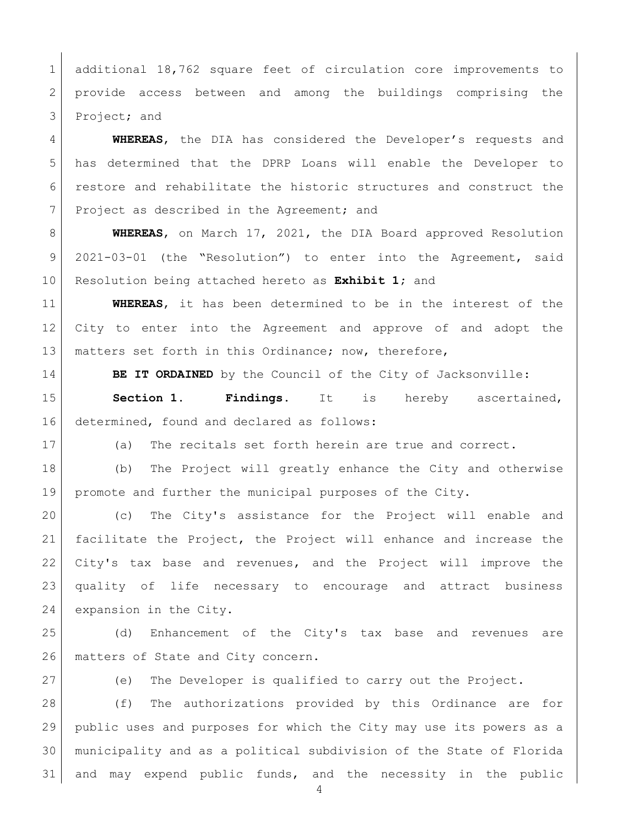additional 18,762 square feet of circulation core improvements to provide access between and among the buildings comprising the 3 Project; and

 **WHEREAS**, the DIA has considered the Developer's requests and has determined that the DPRP Loans will enable the Developer to restore and rehabilitate the historic structures and construct the 7 Project as described in the Agreement; and

 **WHEREAS**, on March 17, 2021, the DIA Board approved Resolution 2021-03-01 (the "Resolution") to enter into the Agreement, said Resolution being attached hereto as **Exhibit 1;** and

 **WHEREAS**, it has been determined to be in the interest of the City to enter into the Agreement and approve of and adopt the 13 | matters set forth in this Ordinance; now, therefore,

**BE IT ORDAINED** by the Council of the City of Jacksonville:

 **Section 1. Findings.** It is hereby ascertained, 16 determined, found and declared as follows:

(a) The recitals set forth herein are true and correct.

 (b) The Project will greatly enhance the City and otherwise promote and further the municipal purposes of the City.

 (c) The City's assistance for the Project will enable and facilitate the Project, the Project will enhance and increase the City's tax base and revenues, and the Project will improve the quality of life necessary to encourage and attract business 24 expansion in the City.

 (d) Enhancement of the City's tax base and revenues are 26 | matters of State and City concern.

(e) The Developer is qualified to carry out the Project.

 (f) The authorizations provided by this Ordinance are for public uses and purposes for which the City may use its powers as a municipality and as a political subdivision of the State of Florida and may expend public funds, and the necessity in the public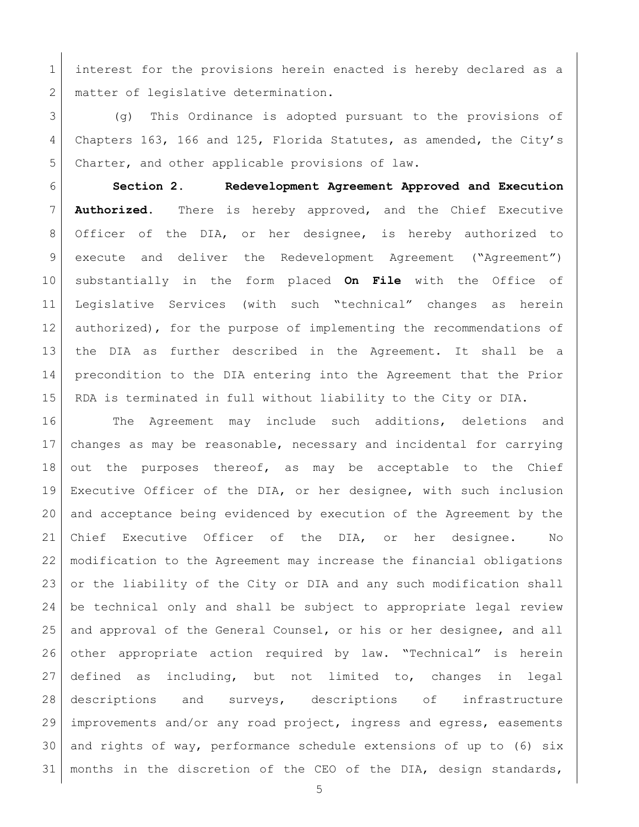interest for the provisions herein enacted is hereby declared as a 2 | matter of legislative determination.

 (g) This Ordinance is adopted pursuant to the provisions of 4 Chapters 163, 166 and 125, Florida Statutes, as amended, the City's Charter, and other applicable provisions of law.

 **Section 2. Redevelopment Agreement Approved and Execution Authorized.** There is hereby approved, and the Chief Executive Officer of the DIA, or her designee, is hereby authorized to execute and deliver the Redevelopment Agreement ("Agreement") substantially in the form placed **On File** with the Office of Legislative Services (with such "technical" changes as herein authorized), for the purpose of implementing the recommendations of the DIA as further described in the Agreement. It shall be a precondition to the DIA entering into the Agreement that the Prior RDA is terminated in full without liability to the City or DIA.

16 The Agreement may include such additions, deletions and changes as may be reasonable, necessary and incidental for carrying out the purposes thereof, as may be acceptable to the Chief Executive Officer of the DIA, or her designee, with such inclusion and acceptance being evidenced by execution of the Agreement by the Chief Executive Officer of the DIA, or her designee. No modification to the Agreement may increase the financial obligations or the liability of the City or DIA and any such modification shall be technical only and shall be subject to appropriate legal review and approval of the General Counsel, or his or her designee, and all other appropriate action required by law. "Technical" is herein defined as including, but not limited to, changes in legal descriptions and surveys, descriptions of infrastructure improvements and/or any road project, ingress and egress, easements and rights of way, performance schedule extensions of up to (6) six 31 | months in the discretion of the CEO of the DIA, design standards,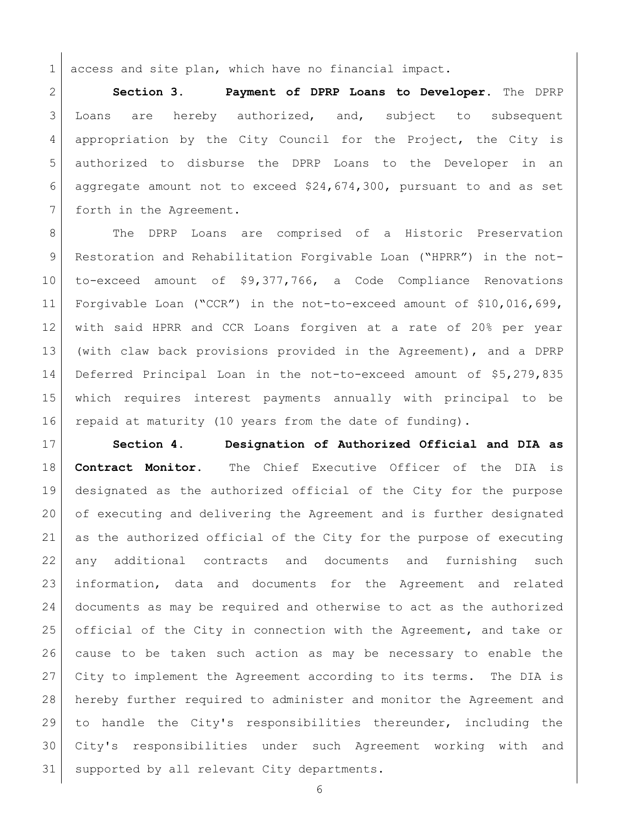access and site plan, which have no financial impact.

 **Section 3. Payment of DPRP Loans to Developer.** The DPRP Loans are hereby authorized, and, subject to subsequent appropriation by the City Council for the Project, the City is authorized to disburse the DPRP Loans to the Developer in an aggregate amount not to exceed \$24,674,300, pursuant to and as set 7 forth in the Agreement.

8 | The DPRP Loans are comprised of a Historic Preservation Restoration and Rehabilitation Forgivable Loan ("HPRR") in the not- to-exceed amount of \$9,377,766, a Code Compliance Renovations Forgivable Loan ("CCR") in the not-to-exceed amount of \$10,016,699, with said HPRR and CCR Loans forgiven at a rate of 20% per year (with claw back provisions provided in the Agreement), and a DPRP Deferred Principal Loan in the not-to-exceed amount of \$5,279,835 which requires interest payments annually with principal to be repaid at maturity (10 years from the date of funding).

 **Section 4. Designation of Authorized Official and DIA as Contract Monitor.** The Chief Executive Officer of the DIA is designated as the authorized official of the City for the purpose of executing and delivering the Agreement and is further designated as the authorized official of the City for the purpose of executing any additional contracts and documents and furnishing such information, data and documents for the Agreement and related documents as may be required and otherwise to act as the authorized official of the City in connection with the Agreement, and take or cause to be taken such action as may be necessary to enable the City to implement the Agreement according to its terms. The DIA is hereby further required to administer and monitor the Agreement and to handle the City's responsibilities thereunder, including the City's responsibilities under such Agreement working with and supported by all relevant City departments.